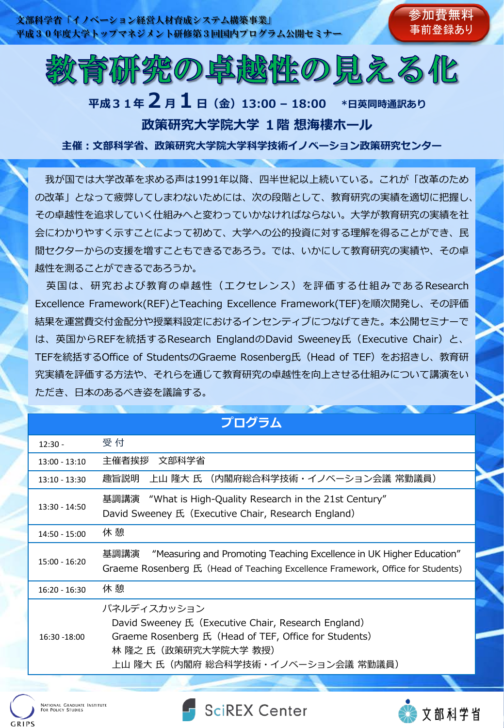

# **平成31年2月1日(金)13:00 – 18:00 \*日英同時通訳あり 政策研究大学院大学 1階 想海樓ホール**

**主催:文部科学省、政策研究大学院大学科学技術イノベーション政策研究センター**

我が国では大学改革を求める声は1991年以降、四半世紀以上続いている。これが「改革のため の改革」となって疲弊してしまわないためには、次の段階として、教育研究の実績を適切に把握し、 その卓越性を追求していく仕組みへと変わっていかなければならない。大学が教育研究の実績を社 会にわかりやすく示すことによって初めて、大学への公的投資に対する理解を得ることができ、民 間セクターからの支援を増すこともできるであろう。では、いかにして教育研究の実績や、その卓 越性を測ることができるであろうか。

英国は、研究および教育の卓越性(エクセレンス)を評価する仕組みであるResearch Excellence Framework(REF)とTeaching Excellence Framework(TEF)を順次開発し、その評価 結果を運営費交付金配分や授業料設定におけるインセンティブにつなげてきた。本公開セミナーで は、英国からREFを統括するResearch EnglandのDavid Sweeney氏 (Executive Chair) と、 TEFを統括するOffice of StudentsのGraeme Rosenberg氏(Head of TEF)をお招きし、教育研 究実績を評価する方法や、それらを通じて教育研究の卓越性を向上させる仕組みについて講演をい ただき、日本のあるべき姿を議論する。

| ノロクフム           |                                                                                                                                                                                           |
|-----------------|-------------------------------------------------------------------------------------------------------------------------------------------------------------------------------------------|
| $12:30 -$       | 受 付                                                                                                                                                                                       |
| $13:00 - 13:10$ | 主催者挨拶<br>文部科学省                                                                                                                                                                            |
| $13:10 - 13:30$ | 上山 隆大 氏 (内閣府総合科学技術・イノベーション会議 常勤議員)<br>趣旨説明                                                                                                                                                |
| $13:30 - 14:50$ | 基調講演 "What is High-Quality Research in the 21st Century"<br>David Sweeney 氏 (Executive Chair, Research England)                                                                           |
| $14:50 - 15:00$ | 休 憩                                                                                                                                                                                       |
| $15:00 - 16:20$ | 基調講演<br>"Measuring and Promoting Teaching Excellence in UK Higher Education"<br>Graeme Rosenberg 氏 (Head of Teaching Excellence Framework, Office for Students)                           |
| $16:20 - 16:30$ | 休 憩                                                                                                                                                                                       |
| 16:30 -18:00    | パネルディスカッション<br>David Sweeney 氏 (Executive Chair, Research England)<br>Graeme Rosenberg 氏 (Head of TEF, Office for Students)<br>林 隆之 氏(政策研究大学院大学 教授)<br>上山 隆大 氏(内閣府 総合科学技術・イノベーション会議 常勤議員) |
|                 |                                                                                                                                                                                           |

**プログラム**







参加費無料 事前登録あり